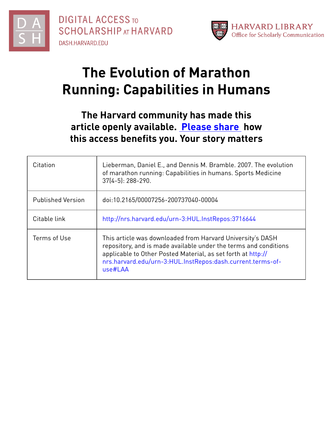



# **The Evolution of Marathon Running: Capabilities in Humans**

## **The Harvard community has made this article openly available. [Please](http://osc.hul.harvard.edu/dash/open-access-feedback?handle=&title=The%20Evolution%20of%20Marathon%20Running:%20Capabilities%20in%20Humans&community=1/1&collection=1/2&owningCollection1/2&harvardAuthors=553a58b5f9e21827f779e99d7e6d461c&departmentAnthropology) share how this access benefits you. Your story matters**

| Citation                 | Lieberman, Daniel E., and Dennis M. Bramble. 2007. The evolution<br>of marathon running: Capabilities in humans. Sports Medicine<br>37(4-5): 288-290.                                                                                                                   |
|--------------------------|-------------------------------------------------------------------------------------------------------------------------------------------------------------------------------------------------------------------------------------------------------------------------|
| <b>Published Version</b> | doi:10.2165/00007256-200737040-00004                                                                                                                                                                                                                                    |
| Citable link             | http://nrs.harvard.edu/urn-3:HUL.InstRepos:3716644                                                                                                                                                                                                                      |
| Terms of Use             | This article was downloaded from Harvard University's DASH<br>repository, and is made available under the terms and conditions<br>applicable to Other Posted Material, as set forth at http://<br>nrs.harvard.edu/urn-3:HUL.InstRepos:dash.current.terms-of-<br>use#LAA |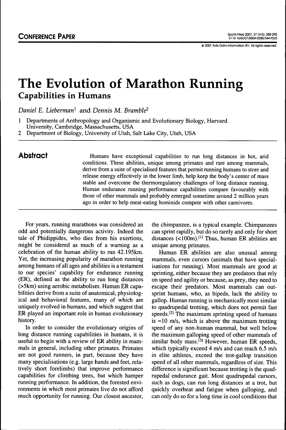e 2007 Adis Data Intormatian BV. All rights reserved.

## **The Evolution of Marathon Running** Capabilities in Humans

*Daniel E. Lieberman^* and *Dennis M. Bramble^*

- 1 Departments of Anthropology and Organismic and Evolutionary Biology, Harvard
- University, Cambridge, Massachusetts, USA 2 Department of Biology, University of Utah, Salt Lake City, Utah, USA

**Abstract** Humans have exceptional capabilities to run long distances in hot, arid conditions. These abilities, unique among primates and rare among mammals, derive from a suite of specialised features that permit running humans to store and release energy effectively in the lower limb, help keep the body's center of mass stable and overcome the thermoregulatory challenges of long distance running. Human endurance running performance capabilities compare favourably with those of other mammals and probably emerged sometime around 2 million years ago in order to help meat-eating hominids compete with other carnivores.

For years, running marathons was considered an odd and potentially dangerous activity. Indeed the tale of Phidippides, who dies from his exertions, might be considered as much of a warning as a celebration of the human ability to run 42.195km. Yet, the increasing popularity of marathon running among humans of all ages and abilities is a testament to our species' capability for endurance running (ER), defined as the ability to run long distances (>5km) using aerobic metabolism. Human ER capabilities derive from a suite of anatomical, physiological and behavioral features, many of which are uniquely evolved in humans, and which suggest that ER played an important role in human evolutionary history.

In order to consider the evolutionary origins of long distance running capabilities in humans, it is useful to begin with a review of ER ability in mammals in general, including other primates. Primates are not good runners, in part, because they have many specialisations (e.g. large hands and feet, relatively short forelimbs) that improve performance capabilities for climbing trees, but which hamper running performance. In addition, the forested environments in which most primates live do not afford much opportunity for running. Our closest ancestor. the chimpanzee, is a typical example. Chimpanzees can sprint rapidly, but do so rarely and only for short distances  $\left($ <100m).<sup>[1]</sup> Thus, human ER abilities are unique among primates.

Human ER abilities are also unusual among mammals, even cursors (animals that have specialisations for running). Most mammals are good at sprinting, either because they are predators that rely on speed and agility or because, as prey, they need to escape their predators. Most mammals can outsprint humans, who, as bipeds, lack the ability to gallop. Human running is mechanically most similar to quadrupedal trotting, which does not permit fast speeds.<sup>[2]</sup> The maximum sprinting speed of humans is  $\approx$ 10 m/s, which is above the maximum trotting speed of any non-human mammal, but well below the maximum galloping speed of other mammals of similar body mass.<sup>[3]</sup> However, human ER speeds, which typically exceed 4 m/s and can reach 6.5 m/s in elite athletes, exceed the trot-gallop transition speed of all other mammals, regardless of size. This difference is significant because trotting is the quadrupedal endurance gait. Most quadrupedal cursors, such as dogs, can run long distances at a trot, but quickly overheat and fatigue when galloping, and can only do so for a long time in cool conditions that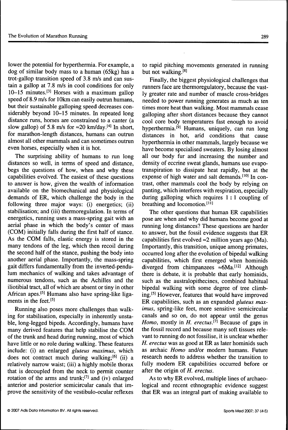lower the potential for hyperthermia. For example, a dog of similar body mass to a human (65kg) has a trot-gallop transition speed of 3.8 m/s and can sustain a gallop at 7.8 m/s in cool conditions for only  $10-15$  minutes.<sup>[3]</sup> Horses with a maximum gallop speed of 8.9 m/s for 10km can easily outrun humans, but their sustainable galloping speed decreases considerably beyond 10-15 minutes. In repeated long distance runs, horses are constrained to a canter (a slow gallop) of 5.8 m/s for  $\approx$  20 km/day.<sup>[4]</sup> In short, for marathon-length distances, humans can outrun almost all other mammals and can sometimes outrun even horses, especially when it is hot.

The surprising ability of humans to run long distances so well, in terms of speed and distance, begs the questions of how, when and why these capabilities evolved. The easiest of these questions to answer is how, given the wealth of information available on the biomechanical and physiological demands of ER, which challenge the body in the following three major ways: (i) energetics; (ii) stabilisation; and (iii) thermoregulation. In terms of energetics, running uses a mass-spring gait with an aerial phase in which the body's center of mass (COM) initially falls during the first half of stance. As the COM falls, elastic energy is stored in the many tendons of the leg, which then recoil during the second half of the stance, pushing the body into another aerial phase. Importantly, the mass-spring gait differs fundamentally from the inverted-pendulum mechanics of walking and takes advantage of numerous tendons, such as the Achilles and the iliotibial tract, all of which are absent or tiny in other African apes.<sup>[5]</sup> Humans also have spring-like ligaments in the feet.<sup>[5]</sup>

Running also poses more challenges than walking for stabilisation, especially in inherently unstable, long-legged bipeds. Accordingly, humans have many derived features that help stabilise the COM of the trunk and head during running, most of which have little or no role during walking. These features include: (i) an enlarged *gluteus maximus,* which does not contract much during walking;<sup>[6]</sup> (ii) a relatively narrow waist; (iii) a highly mobile thorax that is decoupled from the neck to permit counter rotation of the arms and trunk; $^{[7]}$  and (iv) enlarged anterior and posterior semicircular canals that improve the sensitivity of the vestibulo-ocular reflexes to rapid pitching movements generated in running but not walking.<sup>[8]</sup>

Finally, the biggest physiological challenges that runners face are thermoregulatory, because the vastly greater rate and number of muscle cross-bridges needed to power running generates as much as ten times more heat than walking. Most mammals cease galloping after short distances because they cannot cool core body temperatures fast enough to avoid hyperthermia.<sup>[9]</sup> Humans, uniquely, can run long distances in hot, arid conditions that cause hyperthermia in other mammals, largely because we have become specialised sweaters. By losing almost all our body fur and increasing the number and density of eccrine sweat glands, humans use evapotranspiration to dissipate heat rapidly, but at the expense of high water and salt demands.<sup>[10]</sup> In contrast, other mammals cool the body by relying on panting, which interferes with respiration, especially during galloping which requires 1 : 1 coupling of breathing and locomotion.<sup>[11]</sup>

The other questions that human ER capabilities pose are when and why did humans become good at running long distances? These questions are harder to answer, but the fossil evidence suggests that ER capabilities first evolved  $\approx$  2 million years ago (Ma). Importantly, this transition, unique among primates, occurred long after the evolution of bipedal walking capabilities, which first emerged when hominids diverged from chimpanzees  $\approx$  6Ma.<sup>[12]</sup> Although there is debate, it is probable that early hominids, such as the australopithecines, combined habitual bipedal walking with some degree of tree climbing.<sup>[5]</sup> However, features that would have improved ER capabilities, such as an expanded *gluteus maximus*, spring-like feet, more sensitive semicircular canals and so on, do not appear until the genus *Homo,* mostly in *H. erectus.*<sup>[7]</sup> Because of gaps in the fossil record and because many soft tissues relevant to running do not fossilise, it is unclear whether *H. erectus* was as good at ER as later hominids such as archaic *Homo* and/or modem humans. Future research needs to address whether the transition to fully modem ER capabilities occurred before or after the origin of *H. erectus.*

As to why ER evolved, multiple lines of archaeological and recent ethnographic evidence suggest that ER was an integral part of making available to